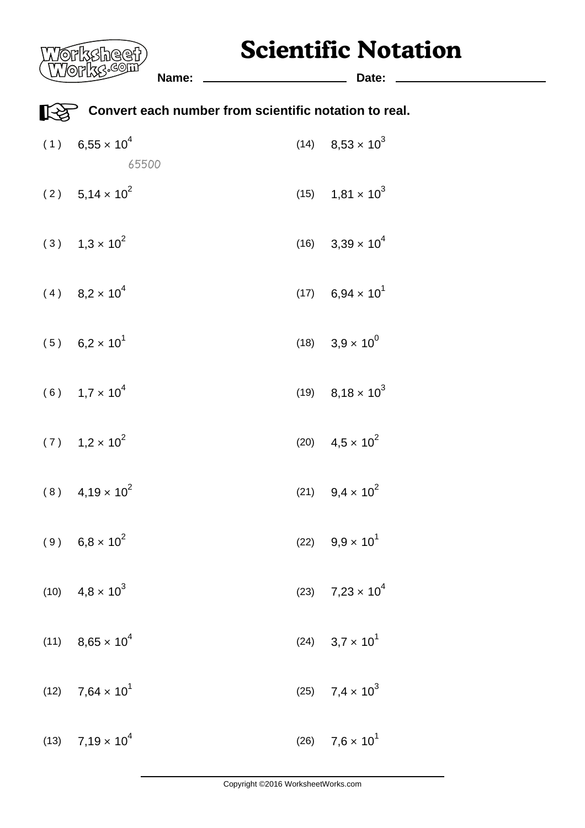## **Scientific Notation**

| (Works: <sup>com</sup>                       | Name:                                                 | Date:                                |  |
|----------------------------------------------|-------------------------------------------------------|--------------------------------------|--|
|                                              | Convert each number from scientific notation to real. |                                      |  |
| $(1)$ 6,55 $\times$ 10 <sup>4</sup><br>65500 |                                                       | $(14)$ 8,53 $\times$ 10 <sup>3</sup> |  |
| $(2)$ 5,14 $\times$ 10 <sup>2</sup>          |                                                       | $(15)$ 1,81 $\times$ 10 <sup>3</sup> |  |
| $(3)$ 1,3 × 10 <sup>2</sup>                  |                                                       | $(16)$ 3,39 $\times$ 10 <sup>4</sup> |  |
| $(4)$ 8,2 × 10 <sup>4</sup>                  |                                                       | $(17)$ 6,94 $\times$ 10 <sup>1</sup> |  |
| $(5)$ 6,2 × 10 <sup>1</sup>                  |                                                       | $(18)$ 3,9 $\times$ 10 <sup>0</sup>  |  |
| $(6)$ 1,7 $\times$ 10 <sup>4</sup>           |                                                       | $(19)$ 8,18 $\times$ 10 <sup>3</sup> |  |
| $(7)$ 1,2 $\times$ 10 <sup>2</sup>           |                                                       | (20) $4.5 \times 10^2$               |  |
| $(8)$ 4,19 $\times$ 10 <sup>2</sup>          |                                                       | (21) $9,4 \times 10^2$               |  |
| $(9)$ 6,8 × 10 <sup>2</sup>                  |                                                       | (22) $9.9 \times 10^{1}$             |  |
| $(10)$ 4,8 $\times$ 10 <sup>3</sup>          |                                                       | $(23)$ 7,23 $\times$ 10 <sup>4</sup> |  |
| $(11)$ 8,65 $\times$ 10 <sup>4</sup>         |                                                       | $(24)$ 3,7 $\times$ 10 <sup>1</sup>  |  |
| $(12)$ 7,64 $\times$ 10 <sup>1</sup>         |                                                       | (25) $7,4 \times 10^3$               |  |
| $(13)$ 7,19 $\times$ 10 <sup>4</sup>         |                                                       | $(26)$ 7,6 $\times$ 10 <sup>1</sup>  |  |